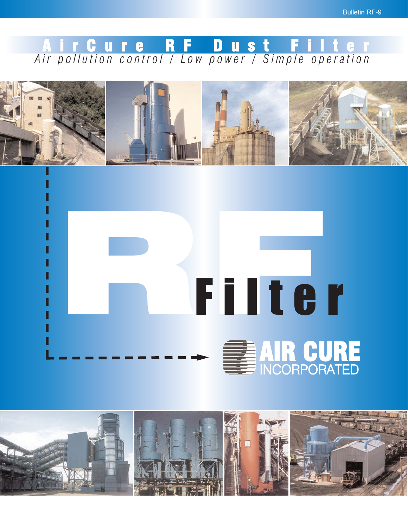### *Air pollution control / Low power / Simple operation* A i r C u r e R F D u s t F i l t e r





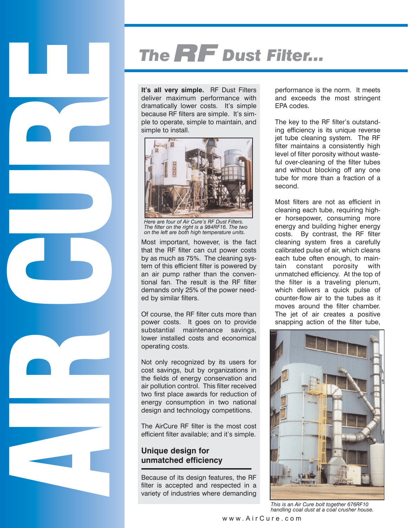# The **RF** Dust Filter...

**It's all very simple.** RF Dust Filters deliver maximum performance with dramatically lower costs. It's simple because RF filters are simple. It's simple to operate, simple to maintain, and simple to install.



*Here are four of Air Cure's RF Dust Filters. The filter on the right is a 984RF16. The two on the left are both high temperature units.*

Most important, however, is the fact that the RF filter can cut power costs by as much as 75%. The cleaning system of this efficient filter is powered by an air pump rather than the conventional fan. The result is the RF filter demands only 25% of the power needed by similar filters.

Of course, the RF filter cuts more than power costs. It goes on to provide substantial maintenance savings, lower installed costs and economical operating costs.

Not only recognized by its users for cost savings, but by organizations in the fields of energy conservation and air pollution control. This filter received two first place awards for reduction of energy consumption in two national design and technology competitions.

The AirCure RF filter is the most cost efficient filter available; and it's simple.

#### **Unique design for unmatched efficiency**

Because of its design features, the RF filter is accepted and respected in a variety of industries where demanding

performance is the norm. It meets and exceeds the most stringent EPA codes.

The key to the RF filter's outstanding efficiency is its unique reverse jet tube cleaning system. The RF filter maintains a consistently high level of filter porosity without wasteful over-cleaning of the filter tubes and without blocking off any one tube for more than a fraction of a second.

Most filters are not as efficient in cleaning each tube, requiring higher horsepower, consuming more energy and building higher energy costs. By contrast, the RF filter cleaning system fires a carefully calibrated pulse of air, which cleans each tube often enough, to maintain constant porosity with unmatched efficiency. At the top of the filter is a traveling plenum, which delivers a quick pulse of counter-flow air to the tubes as it moves around the filter chamber. The jet of air creates a positive snapping action of the filter tube,



*This is an Air Cure bolt together 676RF10 handling coal dust at a coal crusher house.*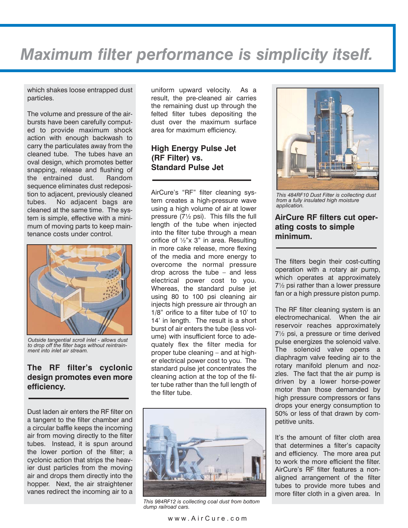## *Maximum filter performance is simplicity itself.*

which shakes loose entrapped dust particles.

The volume and pressure of the airbursts have been carefully computed to provide maximum shock action with enough backwash to carry the particulates away from the cleaned tube. The tubes have an oval design, which promotes better snapping, release and flushing of the entrained dust. Random sequence eliminates dust redeposition to adjacent, previously cleaned tubes. No adjacent bags are cleaned at the same time. The system is simple, effective with a minimum of moving parts to keep maintenance costs under control.



*Outside tangential scroll inlet - allows dust to drop off the filter bags without reintrainment into inlet air stream.*

#### **The RF filter's cyclonic design promotes even more efficiency.**

Dust laden air enters the RF filter on a tangent to the filter chamber and a circular baffle keeps the incoming air from moving directly to the filter tubes. Instead, it is spun around the lower portion of the filter; a cyclonic action that strips the heavier dust particles from the moving air and drops them directly into the hopper. Next, the air straightener vanes redirect the incoming air to a uniform upward velocity. As a result, the pre-cleaned air carries the remaining dust up through the felted filter tubes depositing the dust over the maximum surface area for maximum efficiency.

#### **High Energy Pulse Jet (RF Filter) vs. Standard Pulse Jet**

AirCure's "RF" filter cleaning system creates a high-pressure wave using a high volume of air at lower pressure (7½ psi). This fills the full length of the tube when injected into the filter tube through a mean orifice of ½"x 3" in area. Resulting in more cake release, more flexing of the media and more energy to overcome the normal pressure drop across the tube – and less electrical power cost to you. Whereas, the standard pulse jet using 80 to 100 psi cleaning air injects high pressure air through an 1/8" orifice to a filter tube of 10' to 14' in length. The result is a short burst of air enters the tube (less volume) with insufficient force to adequately flex the filter media for proper tube cleaning – and at higher electrical power cost to you. The standard pulse jet concentrates the cleaning action at the top of the filter tube rather than the full length of the filter tube.



*This 984RF12 is collecting coal dust from bottom dump railroad cars.*



*This 484RF10 Dust Filter is collecting dust from a fully insulated high moisture application.*

#### **AirCure RF filters cut operating costs to simple minimum.**

The filters begin their cost-cutting operation with a rotary air pump, which operates at approximately 7½ psi rather than a lower pressure fan or a high pressure piston pump.

The RF filter cleaning system is an electromechanical. When the air reservoir reaches approximately 7½ psi, a pressure or time derived pulse energizes the solenoid valve. The solenoid valve opens a diaphragm valve feeding air to the rotary manifold plenum and nozzles. The fact that the air pump is driven by a lower horse-power motor than those demanded by high pressure compressors or fans drops your energy consumption to 50% or less of that drawn by competitive units.

It's the amount of filter cloth area that determines a filter's capacity and efficiency. The more area put to work the more efficient the filter. AirCure's RF filter features a nonaligned arrangement of the filter tubes to provide more tubes and more filter cloth in a given area. In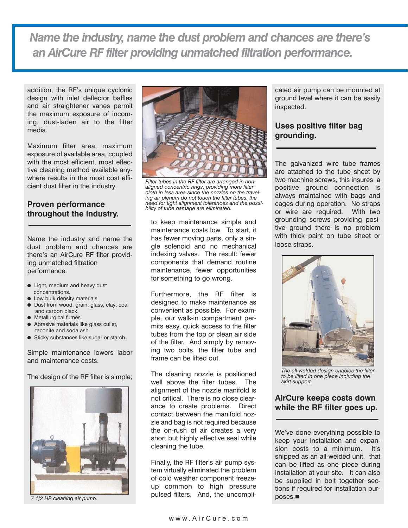*Name the industry, name the dust problem and chances are there's an AirCure RF filter providing unmatched filtration performance.*

addition, the RF's unique cyclonic design with inlet deflector baffles and air straightener vanes permit the maximum exposure of incoming, dust-laden air to the filter media.

Maximum filter area, maximum exposure of available area, coupled with the most efficient, most effective cleaning method available anywhere results in the most cost efficient dust filter in the industry.

#### **Proven performance throughout the industry.**

Name the industry and name the dust problem and chances are there's an AirCure RF filter providing unmatched filtration performance.

- Light, medium and heavy dust concentrations.
- Low bulk density materials.
- Dust from wood, grain, glass, clay, coal and carbon black.
- Metallurgical fumes.
- Abrasive materials like glass cullet. taconite and soda ash.
- Sticky substances like sugar or starch.

Simple maintenance lowers labor and maintenance costs.

The design of the RF filter is simple;



*7 1/2 HP cleaning air pump.*



*Filter tubes in the RF filter are arranged in nonaligned concentric rings, providing more filter cloth in less area since the nozzles on the traveling air plenum do not touch the filter tubes, the need for tight alignment tolerances and the possibility of tube damage are eliminated.*

to keep maintenance simple and maintenance costs low. To start, it has fewer moving parts, only a single solenoid and no mechanical indexing valves. The result: fewer components that demand routine maintenance, fewer opportunities for something to go wrong.

Furthermore, the RF filter is designed to make maintenance as convenient as possible. For example, our walk-in compartment permits easy, quick access to the filter tubes from the top or clean air side of the filter. And simply by removing two bolts, the filter tube and frame can be lifted out.

The cleaning nozzle is positioned well above the filter tubes. The alignment of the nozzle manifold is not critical. There is no close clearance to create problems. Direct contact between the manifold nozzle and bag is not required because the on-rush of air creates a very short but highly effective seal while cleaning the tube.

Finally, the RF filter's air pump system virtually eliminated the problem of cold weather component freezeup common to high pressure pulsed filters. And, the uncompli-

cated air pump can be mounted at ground level where it can be easily inspected.

#### **Uses positive filter bag grounding.**

The galvanized wire tube frames are attached to the tube sheet by two machine screws, this insures a positive ground connection is always maintained with bags and cages during operation. No straps or wire are required. With two grounding screws providing positive ground there is no problem with thick paint on tube sheet or loose straps.



*The all-welded design enables the filter to be lifted in one piece including the skirt support.*

#### **AirCure keeps costs down while the RF filter goes up.**

We've done everything possible to keep your installation and expansion costs to a minimum. It's shipped as an all-welded unit, that can be lifted as one piece during installation at your site. It can also be supplied in bolt together sections if required for installation purposes.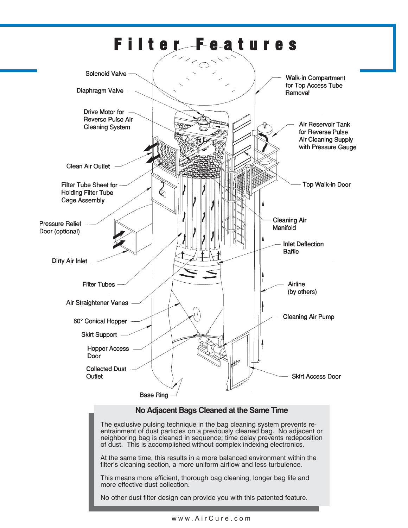

#### **No Adjacent Bags Cleaned at the Same Time**

The exclusive pulsing technique in the bag cleaning system prevents reentrainment of dust particles on a previously cleaned bag. No adjacent or neighboring bag is cleaned in sequence; time delay prevents redeposition of dust. This is accomplished without complex indexing electronics.

At the same time, this results in a more balanced environment within the filter's cleaning section, a more uniform airflow and less turbulence.

This means more efficient, thorough bag cleaning, longer bag life and more effective dust collection.

No other dust filter design can provide you with this patented feature.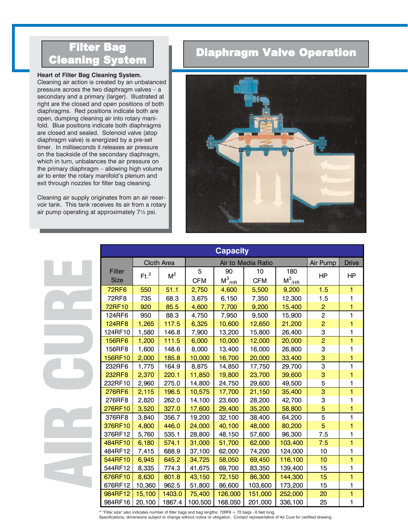#### **Heart of Filter Bag Cleaning System.**

Cleaning air action is created by an unbalanced pressure across the two diaphragm valves – a secondary and a primary (larger). Illustrated at right are the closed and open positions of both diaphragms. Red positions indicate both are open, dumping cleaning air into rotary manifold. Blue positions indicate both diaphragms are closed and sealed. Solenoid valve (atop diaphragm valve) is energized by a pre-set timer. In milliseconds it releases air pressure on the backside of the secondary diaphragm, which in turn, unbalances the air pressure on the primary diaphragm – allowing high volume air to enter the rotary manifold's plenum and exit through nozzles for filter bag cleaning. **Example 19 System**<br> **Example 19 System.**<br>
Cleaning air action is created by an unbalan<br>
pressure across the two diaphragm valves –<br>
secondary and a primary (larger). Illustrated<br>
right are the closed and open positions of

Cleaning air supply originates from an air reservoir tank. This tank receives its air from a rotary

### tion



| eart of Filter Bag Cleaning System.<br>eaning air action is created by an unbalanced<br>essure across the two diaphragm valves - a<br>condary and a primary (larger). Illustrated at<br>tht are the closed and open positions of both<br>aphragms. Red positions indicate both are<br>en, dumping cleaning air into rotary mani-<br>d. Blue positions indicate both diaphragms<br>e closed and sealed. Solenoid valve (atop<br>aphragm valve) is energized by a pre-set<br>ner. In milliseconds it releases air pressure<br>the backside of the secondary diaphragm,<br>nich in turn, unbalances the air pressure on<br>e primary diaphragm - allowing high volume<br>to enter the rotary manifold's plenum and<br>it through nozzles for filter bag cleaning.<br>eaning air supply originates from an air reser-<br>ir tank. This tank receives its air from a rotary<br>pump operating at approximately 71/2 psi.<br><b>Capacity</b><br>Air Pump<br>Cloth Area<br>Air to Media Ratio<br><b>Drive</b><br>Filter<br>90<br>5<br>180<br>10<br>Ft. <sup>2</sup><br>$M^2$<br>HP<br>HP<br>$M^3$ /HR<br>$M^3$ <sub>/HR</sub><br><b>Size</b><br><b>CFM</b><br><b>CFM</b><br><b>72RF6</b><br>550<br>51.1<br>2,750<br>4,600<br>5,500<br>9,200<br>1.5<br>1<br>72RF8<br>68.3<br>6,150<br>735<br>3,675<br>7,350<br>12,300<br>1.5<br>1<br>72RF10<br>$\overline{2}$<br>920<br>85.5<br>4,600<br>7,700<br>9,200<br>15,400<br>1<br>$\overline{c}$<br>124RF6<br>950<br>88.3<br>15,900<br>1<br>4,750<br>7,950<br>9,500<br>$\overline{a}$<br><b>124RF8</b><br>1,265<br>117.5<br>6,325<br>10,600<br>21,200<br>12,650<br>1<br>124RF10<br>1,580<br>146.8<br>7,900<br>13,200<br>26,400<br>15,800<br>3<br>1<br>$\overline{2}$<br>1<br><b>156RF6</b><br>1,200<br>111.5<br>6,000<br>10,000<br>12,000<br>20,000<br>156RF8<br>1,600<br>148.6<br>8,000<br>13,400<br>16,000<br>26,800<br>3<br>ı<br>2,000<br>185.8<br>16,700<br>20,000<br>3<br>156RF10<br>10,000<br>33,400<br>1<br>3<br>232RF6<br>1,775<br>164.9<br>8,875<br>17,750<br>14,850<br>29,700<br>1<br>$\ensuremath{\mathsf{3}}$<br>2,370<br>220.1<br>11,850<br>232RF8<br>19,800<br>23,700<br>39,600<br>1<br>5<br>232RF10<br>2,960<br>275.0<br>14,800<br>24,750<br>29,600<br>49,500<br>1<br>$\bf{3}$<br>1<br>2,115<br>196.5<br>10,575<br>17,700<br>21,150<br>276RF6<br>35,400<br>14,100<br>276RF8<br>2,820<br>262.0<br>23,600<br>28,200<br>42,700<br>3<br>1<br>5<br>3,520<br>327.0<br>58,800<br>276RF10<br>17,600<br>29,400<br>35,200<br>1<br>5<br>376RF8<br>3,840<br>356.7<br>19,200<br>32,100<br>38,400<br>64,200<br>1<br>5<br>376RF10<br>4,800<br>446.0<br>24,000<br>40,100<br>48,000<br>80,200<br>1<br>376RF12<br>5,760<br>535.1<br>28,800<br>57,600<br>96,300<br>48,150<br>7.5<br>1<br>484RF10<br>6,180<br>574.1<br>31,000<br>51,700<br>62,000<br>103,400<br>7.5<br>1<br>484RF12<br>7,415<br>688.9<br>37,100<br>74,200<br>10<br>62,000<br>124,000<br>1<br>10<br>1<br>544RF10<br>6,945<br>645.2<br>34,725<br>69,450<br>116,100<br>58,050<br>8,335<br>544RF12<br>774.3<br>41,675<br>69,700<br>83,350<br>139,400<br>15<br>1<br>8,630<br>1<br>676RF10<br>801.8<br>43,150<br>86,300<br>15<br>72,150<br>144,300<br>676RF12<br>10,360<br>962.5<br>103,600<br>15<br>51,800<br>86,600<br>173,200<br>1<br>984RF12<br>1403.0<br>75,400<br>151,000<br>20<br>1<br>15,100<br>126,000<br>252,000<br>984RF16<br>20,100<br>1867.4<br>100,500<br>168,050<br>201,000<br>25<br>336,100<br>1 | ппсы вая<br><b>Cleaning System</b> |  |  |  | <b>Diaphragm Valve Operation</b> |  |  |  |  |  |  |
|-------------------------------------------------------------------------------------------------------------------------------------------------------------------------------------------------------------------------------------------------------------------------------------------------------------------------------------------------------------------------------------------------------------------------------------------------------------------------------------------------------------------------------------------------------------------------------------------------------------------------------------------------------------------------------------------------------------------------------------------------------------------------------------------------------------------------------------------------------------------------------------------------------------------------------------------------------------------------------------------------------------------------------------------------------------------------------------------------------------------------------------------------------------------------------------------------------------------------------------------------------------------------------------------------------------------------------------------------------------------------------------------------------------------------------------------------------------------------------------------------------------------------------------------------------------------------------------------------------------------------------------------------------------------------------------------------------------------------------------------------------------------------------------------------------------------------------------------------------------------------------------------------------------------------------------------------------------------------------------------------------------------------------------------------------------------------------------------------------------------------------------------------------------------------------------------------------------------------------------------------------------------------------------------------------------------------------------------------------------------------------------------------------------------------------------------------------------------------------------------------------------------------------------------------------------------------------------------------------------------------------------------------------------------------------------------------------------------------------------------------------------------------------------------------------------------------------------------------------------------------------------------------------------------------------------------------------------------------------------------------------------------------------------------------------------------------------------------------------------------------------------------------------------------------------------------------------------------------------------------------------------------------------------------------------------------------------------------------------------------------------------------------------|------------------------------------|--|--|--|----------------------------------|--|--|--|--|--|--|
|                                                                                                                                                                                                                                                                                                                                                                                                                                                                                                                                                                                                                                                                                                                                                                                                                                                                                                                                                                                                                                                                                                                                                                                                                                                                                                                                                                                                                                                                                                                                                                                                                                                                                                                                                                                                                                                                                                                                                                                                                                                                                                                                                                                                                                                                                                                                                                                                                                                                                                                                                                                                                                                                                                                                                                                                                                                                                                                                                                                                                                                                                                                                                                                                                                                                                                                                                                                                       |                                    |  |  |  |                                  |  |  |  |  |  |  |
|                                                                                                                                                                                                                                                                                                                                                                                                                                                                                                                                                                                                                                                                                                                                                                                                                                                                                                                                                                                                                                                                                                                                                                                                                                                                                                                                                                                                                                                                                                                                                                                                                                                                                                                                                                                                                                                                                                                                                                                                                                                                                                                                                                                                                                                                                                                                                                                                                                                                                                                                                                                                                                                                                                                                                                                                                                                                                                                                                                                                                                                                                                                                                                                                                                                                                                                                                                                                       |                                    |  |  |  |                                  |  |  |  |  |  |  |
|                                                                                                                                                                                                                                                                                                                                                                                                                                                                                                                                                                                                                                                                                                                                                                                                                                                                                                                                                                                                                                                                                                                                                                                                                                                                                                                                                                                                                                                                                                                                                                                                                                                                                                                                                                                                                                                                                                                                                                                                                                                                                                                                                                                                                                                                                                                                                                                                                                                                                                                                                                                                                                                                                                                                                                                                                                                                                                                                                                                                                                                                                                                                                                                                                                                                                                                                                                                                       |                                    |  |  |  |                                  |  |  |  |  |  |  |
|                                                                                                                                                                                                                                                                                                                                                                                                                                                                                                                                                                                                                                                                                                                                                                                                                                                                                                                                                                                                                                                                                                                                                                                                                                                                                                                                                                                                                                                                                                                                                                                                                                                                                                                                                                                                                                                                                                                                                                                                                                                                                                                                                                                                                                                                                                                                                                                                                                                                                                                                                                                                                                                                                                                                                                                                                                                                                                                                                                                                                                                                                                                                                                                                                                                                                                                                                                                                       |                                    |  |  |  |                                  |  |  |  |  |  |  |
|                                                                                                                                                                                                                                                                                                                                                                                                                                                                                                                                                                                                                                                                                                                                                                                                                                                                                                                                                                                                                                                                                                                                                                                                                                                                                                                                                                                                                                                                                                                                                                                                                                                                                                                                                                                                                                                                                                                                                                                                                                                                                                                                                                                                                                                                                                                                                                                                                                                                                                                                                                                                                                                                                                                                                                                                                                                                                                                                                                                                                                                                                                                                                                                                                                                                                                                                                                                                       |                                    |  |  |  |                                  |  |  |  |  |  |  |
|                                                                                                                                                                                                                                                                                                                                                                                                                                                                                                                                                                                                                                                                                                                                                                                                                                                                                                                                                                                                                                                                                                                                                                                                                                                                                                                                                                                                                                                                                                                                                                                                                                                                                                                                                                                                                                                                                                                                                                                                                                                                                                                                                                                                                                                                                                                                                                                                                                                                                                                                                                                                                                                                                                                                                                                                                                                                                                                                                                                                                                                                                                                                                                                                                                                                                                                                                                                                       |                                    |  |  |  |                                  |  |  |  |  |  |  |
|                                                                                                                                                                                                                                                                                                                                                                                                                                                                                                                                                                                                                                                                                                                                                                                                                                                                                                                                                                                                                                                                                                                                                                                                                                                                                                                                                                                                                                                                                                                                                                                                                                                                                                                                                                                                                                                                                                                                                                                                                                                                                                                                                                                                                                                                                                                                                                                                                                                                                                                                                                                                                                                                                                                                                                                                                                                                                                                                                                                                                                                                                                                                                                                                                                                                                                                                                                                                       |                                    |  |  |  |                                  |  |  |  |  |  |  |
|                                                                                                                                                                                                                                                                                                                                                                                                                                                                                                                                                                                                                                                                                                                                                                                                                                                                                                                                                                                                                                                                                                                                                                                                                                                                                                                                                                                                                                                                                                                                                                                                                                                                                                                                                                                                                                                                                                                                                                                                                                                                                                                                                                                                                                                                                                                                                                                                                                                                                                                                                                                                                                                                                                                                                                                                                                                                                                                                                                                                                                                                                                                                                                                                                                                                                                                                                                                                       |                                    |  |  |  |                                  |  |  |  |  |  |  |
|                                                                                                                                                                                                                                                                                                                                                                                                                                                                                                                                                                                                                                                                                                                                                                                                                                                                                                                                                                                                                                                                                                                                                                                                                                                                                                                                                                                                                                                                                                                                                                                                                                                                                                                                                                                                                                                                                                                                                                                                                                                                                                                                                                                                                                                                                                                                                                                                                                                                                                                                                                                                                                                                                                                                                                                                                                                                                                                                                                                                                                                                                                                                                                                                                                                                                                                                                                                                       |                                    |  |  |  |                                  |  |  |  |  |  |  |
|                                                                                                                                                                                                                                                                                                                                                                                                                                                                                                                                                                                                                                                                                                                                                                                                                                                                                                                                                                                                                                                                                                                                                                                                                                                                                                                                                                                                                                                                                                                                                                                                                                                                                                                                                                                                                                                                                                                                                                                                                                                                                                                                                                                                                                                                                                                                                                                                                                                                                                                                                                                                                                                                                                                                                                                                                                                                                                                                                                                                                                                                                                                                                                                                                                                                                                                                                                                                       |                                    |  |  |  |                                  |  |  |  |  |  |  |
|                                                                                                                                                                                                                                                                                                                                                                                                                                                                                                                                                                                                                                                                                                                                                                                                                                                                                                                                                                                                                                                                                                                                                                                                                                                                                                                                                                                                                                                                                                                                                                                                                                                                                                                                                                                                                                                                                                                                                                                                                                                                                                                                                                                                                                                                                                                                                                                                                                                                                                                                                                                                                                                                                                                                                                                                                                                                                                                                                                                                                                                                                                                                                                                                                                                                                                                                                                                                       |                                    |  |  |  |                                  |  |  |  |  |  |  |
|                                                                                                                                                                                                                                                                                                                                                                                                                                                                                                                                                                                                                                                                                                                                                                                                                                                                                                                                                                                                                                                                                                                                                                                                                                                                                                                                                                                                                                                                                                                                                                                                                                                                                                                                                                                                                                                                                                                                                                                                                                                                                                                                                                                                                                                                                                                                                                                                                                                                                                                                                                                                                                                                                                                                                                                                                                                                                                                                                                                                                                                                                                                                                                                                                                                                                                                                                                                                       |                                    |  |  |  |                                  |  |  |  |  |  |  |
|                                                                                                                                                                                                                                                                                                                                                                                                                                                                                                                                                                                                                                                                                                                                                                                                                                                                                                                                                                                                                                                                                                                                                                                                                                                                                                                                                                                                                                                                                                                                                                                                                                                                                                                                                                                                                                                                                                                                                                                                                                                                                                                                                                                                                                                                                                                                                                                                                                                                                                                                                                                                                                                                                                                                                                                                                                                                                                                                                                                                                                                                                                                                                                                                                                                                                                                                                                                                       |                                    |  |  |  |                                  |  |  |  |  |  |  |
|                                                                                                                                                                                                                                                                                                                                                                                                                                                                                                                                                                                                                                                                                                                                                                                                                                                                                                                                                                                                                                                                                                                                                                                                                                                                                                                                                                                                                                                                                                                                                                                                                                                                                                                                                                                                                                                                                                                                                                                                                                                                                                                                                                                                                                                                                                                                                                                                                                                                                                                                                                                                                                                                                                                                                                                                                                                                                                                                                                                                                                                                                                                                                                                                                                                                                                                                                                                                       |                                    |  |  |  |                                  |  |  |  |  |  |  |
|                                                                                                                                                                                                                                                                                                                                                                                                                                                                                                                                                                                                                                                                                                                                                                                                                                                                                                                                                                                                                                                                                                                                                                                                                                                                                                                                                                                                                                                                                                                                                                                                                                                                                                                                                                                                                                                                                                                                                                                                                                                                                                                                                                                                                                                                                                                                                                                                                                                                                                                                                                                                                                                                                                                                                                                                                                                                                                                                                                                                                                                                                                                                                                                                                                                                                                                                                                                                       |                                    |  |  |  |                                  |  |  |  |  |  |  |
|                                                                                                                                                                                                                                                                                                                                                                                                                                                                                                                                                                                                                                                                                                                                                                                                                                                                                                                                                                                                                                                                                                                                                                                                                                                                                                                                                                                                                                                                                                                                                                                                                                                                                                                                                                                                                                                                                                                                                                                                                                                                                                                                                                                                                                                                                                                                                                                                                                                                                                                                                                                                                                                                                                                                                                                                                                                                                                                                                                                                                                                                                                                                                                                                                                                                                                                                                                                                       |                                    |  |  |  |                                  |  |  |  |  |  |  |
|                                                                                                                                                                                                                                                                                                                                                                                                                                                                                                                                                                                                                                                                                                                                                                                                                                                                                                                                                                                                                                                                                                                                                                                                                                                                                                                                                                                                                                                                                                                                                                                                                                                                                                                                                                                                                                                                                                                                                                                                                                                                                                                                                                                                                                                                                                                                                                                                                                                                                                                                                                                                                                                                                                                                                                                                                                                                                                                                                                                                                                                                                                                                                                                                                                                                                                                                                                                                       |                                    |  |  |  |                                  |  |  |  |  |  |  |
|                                                                                                                                                                                                                                                                                                                                                                                                                                                                                                                                                                                                                                                                                                                                                                                                                                                                                                                                                                                                                                                                                                                                                                                                                                                                                                                                                                                                                                                                                                                                                                                                                                                                                                                                                                                                                                                                                                                                                                                                                                                                                                                                                                                                                                                                                                                                                                                                                                                                                                                                                                                                                                                                                                                                                                                                                                                                                                                                                                                                                                                                                                                                                                                                                                                                                                                                                                                                       |                                    |  |  |  |                                  |  |  |  |  |  |  |
|                                                                                                                                                                                                                                                                                                                                                                                                                                                                                                                                                                                                                                                                                                                                                                                                                                                                                                                                                                                                                                                                                                                                                                                                                                                                                                                                                                                                                                                                                                                                                                                                                                                                                                                                                                                                                                                                                                                                                                                                                                                                                                                                                                                                                                                                                                                                                                                                                                                                                                                                                                                                                                                                                                                                                                                                                                                                                                                                                                                                                                                                                                                                                                                                                                                                                                                                                                                                       |                                    |  |  |  |                                  |  |  |  |  |  |  |
|                                                                                                                                                                                                                                                                                                                                                                                                                                                                                                                                                                                                                                                                                                                                                                                                                                                                                                                                                                                                                                                                                                                                                                                                                                                                                                                                                                                                                                                                                                                                                                                                                                                                                                                                                                                                                                                                                                                                                                                                                                                                                                                                                                                                                                                                                                                                                                                                                                                                                                                                                                                                                                                                                                                                                                                                                                                                                                                                                                                                                                                                                                                                                                                                                                                                                                                                                                                                       |                                    |  |  |  |                                  |  |  |  |  |  |  |
|                                                                                                                                                                                                                                                                                                                                                                                                                                                                                                                                                                                                                                                                                                                                                                                                                                                                                                                                                                                                                                                                                                                                                                                                                                                                                                                                                                                                                                                                                                                                                                                                                                                                                                                                                                                                                                                                                                                                                                                                                                                                                                                                                                                                                                                                                                                                                                                                                                                                                                                                                                                                                                                                                                                                                                                                                                                                                                                                                                                                                                                                                                                                                                                                                                                                                                                                                                                                       |                                    |  |  |  |                                  |  |  |  |  |  |  |
|                                                                                                                                                                                                                                                                                                                                                                                                                                                                                                                                                                                                                                                                                                                                                                                                                                                                                                                                                                                                                                                                                                                                                                                                                                                                                                                                                                                                                                                                                                                                                                                                                                                                                                                                                                                                                                                                                                                                                                                                                                                                                                                                                                                                                                                                                                                                                                                                                                                                                                                                                                                                                                                                                                                                                                                                                                                                                                                                                                                                                                                                                                                                                                                                                                                                                                                                                                                                       |                                    |  |  |  |                                  |  |  |  |  |  |  |
|                                                                                                                                                                                                                                                                                                                                                                                                                                                                                                                                                                                                                                                                                                                                                                                                                                                                                                                                                                                                                                                                                                                                                                                                                                                                                                                                                                                                                                                                                                                                                                                                                                                                                                                                                                                                                                                                                                                                                                                                                                                                                                                                                                                                                                                                                                                                                                                                                                                                                                                                                                                                                                                                                                                                                                                                                                                                                                                                                                                                                                                                                                                                                                                                                                                                                                                                                                                                       |                                    |  |  |  |                                  |  |  |  |  |  |  |
|                                                                                                                                                                                                                                                                                                                                                                                                                                                                                                                                                                                                                                                                                                                                                                                                                                                                                                                                                                                                                                                                                                                                                                                                                                                                                                                                                                                                                                                                                                                                                                                                                                                                                                                                                                                                                                                                                                                                                                                                                                                                                                                                                                                                                                                                                                                                                                                                                                                                                                                                                                                                                                                                                                                                                                                                                                                                                                                                                                                                                                                                                                                                                                                                                                                                                                                                                                                                       |                                    |  |  |  |                                  |  |  |  |  |  |  |
|                                                                                                                                                                                                                                                                                                                                                                                                                                                                                                                                                                                                                                                                                                                                                                                                                                                                                                                                                                                                                                                                                                                                                                                                                                                                                                                                                                                                                                                                                                                                                                                                                                                                                                                                                                                                                                                                                                                                                                                                                                                                                                                                                                                                                                                                                                                                                                                                                                                                                                                                                                                                                                                                                                                                                                                                                                                                                                                                                                                                                                                                                                                                                                                                                                                                                                                                                                                                       |                                    |  |  |  |                                  |  |  |  |  |  |  |
|                                                                                                                                                                                                                                                                                                                                                                                                                                                                                                                                                                                                                                                                                                                                                                                                                                                                                                                                                                                                                                                                                                                                                                                                                                                                                                                                                                                                                                                                                                                                                                                                                                                                                                                                                                                                                                                                                                                                                                                                                                                                                                                                                                                                                                                                                                                                                                                                                                                                                                                                                                                                                                                                                                                                                                                                                                                                                                                                                                                                                                                                                                                                                                                                                                                                                                                                                                                                       |                                    |  |  |  |                                  |  |  |  |  |  |  |
|                                                                                                                                                                                                                                                                                                                                                                                                                                                                                                                                                                                                                                                                                                                                                                                                                                                                                                                                                                                                                                                                                                                                                                                                                                                                                                                                                                                                                                                                                                                                                                                                                                                                                                                                                                                                                                                                                                                                                                                                                                                                                                                                                                                                                                                                                                                                                                                                                                                                                                                                                                                                                                                                                                                                                                                                                                                                                                                                                                                                                                                                                                                                                                                                                                                                                                                                                                                                       |                                    |  |  |  |                                  |  |  |  |  |  |  |
|                                                                                                                                                                                                                                                                                                                                                                                                                                                                                                                                                                                                                                                                                                                                                                                                                                                                                                                                                                                                                                                                                                                                                                                                                                                                                                                                                                                                                                                                                                                                                                                                                                                                                                                                                                                                                                                                                                                                                                                                                                                                                                                                                                                                                                                                                                                                                                                                                                                                                                                                                                                                                                                                                                                                                                                                                                                                                                                                                                                                                                                                                                                                                                                                                                                                                                                                                                                                       |                                    |  |  |  |                                  |  |  |  |  |  |  |
|                                                                                                                                                                                                                                                                                                                                                                                                                                                                                                                                                                                                                                                                                                                                                                                                                                                                                                                                                                                                                                                                                                                                                                                                                                                                                                                                                                                                                                                                                                                                                                                                                                                                                                                                                                                                                                                                                                                                                                                                                                                                                                                                                                                                                                                                                                                                                                                                                                                                                                                                                                                                                                                                                                                                                                                                                                                                                                                                                                                                                                                                                                                                                                                                                                                                                                                                                                                                       |                                    |  |  |  |                                  |  |  |  |  |  |  |
| * "Filter size" also indicates number of filter bags and bag lengths: 72RF6 = 72 bags - 6 feet long.                                                                                                                                                                                                                                                                                                                                                                                                                                                                                                                                                                                                                                                                                                                                                                                                                                                                                                                                                                                                                                                                                                                                                                                                                                                                                                                                                                                                                                                                                                                                                                                                                                                                                                                                                                                                                                                                                                                                                                                                                                                                                                                                                                                                                                                                                                                                                                                                                                                                                                                                                                                                                                                                                                                                                                                                                                                                                                                                                                                                                                                                                                                                                                                                                                                                                                  |                                    |  |  |  |                                  |  |  |  |  |  |  |

\* "Filter size" also indicates number of filter bags and bag lengths: 72RF6 = 72 bags - 6 feet long.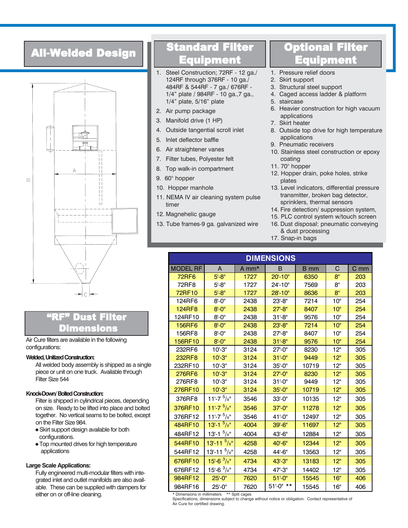### All-Welded Design



### Dust Filter Dimensions

Air Cure filters are available in the following configurations:

#### **Welded, Unitized Construction:**

All welded body assembly is shipped as a single piece or unit on one truck. Available through Filter Size 544

#### **Knock-Down/ Bolted Construction:**

Filter is shipped in cylindrical pieces, depending on size. Ready to be lifted into place and bolted together. No vertical seams to be bolted, except on the Filter Size 984.

- Skirt support design available for both configurations.
- Top mounted drives for high temperature applications

#### **Large Scale Applications:**

Fully engineered multi-modular filters with integrated inlet and outlet manifolds are also available. These can be supplied with dampers for either on or off-line cleaning.

### Standard Filter **quipment**

- 1. Steel Construction; 72RF 12 ga./ 124RF through 376RF - 10 ga./ 484RF & 544RF - 7 ga./ 676RF - 1/4" plate / 984RF - 10 ga.,7 ga., 1/4" plate, 5/16" plate
- 2. Air pump package
- 3. Manifold drive (1 HP)
- 4. Outside tangential scroll inlet
- 5. Inlet deflector baffle
- 6. Air straightener vanes
- 7. Filter tubes, Polyester felt
- 8. Top walk-in compartment
- 9. 60° hopper
- 10. Hopper manhole
- 11. NEMA IV air cleaning system pulse timer
- 12. Magnehelic gauge
- 13. Tube frames-9 ga. galvanized wire

### Optional Filter Equipment

- 1. Pressure relief doors
- 2. Skirt support
- 3. Structural steel support
- 4. Caged access ladder & platform
- 5. staircase
- 6. Heavier construction for high vacuum applications
- 7. Skirt heater
- 8. Outside top drive for high temperature applications
- 9. Pneumatic receivers
- 10. Stainless steel construction or epoxy coating
- 11. 70° hopper
- 12. Hopper drain, poke holes, strike plates
- 13. Level indicators, differential pressure transmitter, broken bag detector, sprinklers, thermal sensors
- 14. Fire detection/ suppression system,
- 15. PLC control system w/touch screen
- 16. Dust disposal: pneumatic conveying & dust processing
- 17. Snap-in bags

| <b>DIMENSIONS</b> |                          |       |               |             |     |                 |  |  |  |  |  |  |
|-------------------|--------------------------|-------|---------------|-------------|-----|-----------------|--|--|--|--|--|--|
| <b>MODEL RF</b>   | A                        | A mm* | B             | <b>B</b> mm | C   | C <sub>mm</sub> |  |  |  |  |  |  |
| <b>72RF6</b>      | $5' - 8''$               | 1727  | $20' - 10''$  | 6350        | 8"  | 203             |  |  |  |  |  |  |
| 72RF8             | $5 - 8"$                 | 1727  | 24'-10"       | 7569        | 8"  | 203             |  |  |  |  |  |  |
| 72RF10            | $5' - 8''$               | 1727  | $28 - 10$     | 8636        | 8"  | 203             |  |  |  |  |  |  |
| 124RF6            | $8' - 0''$               | 2438  | $23 - 8"$     | 7214        | 10" | 254             |  |  |  |  |  |  |
| 124RF8            | $8' - 0''$               | 2438  | $27 - 8"$     | 8407        | 10" | 254             |  |  |  |  |  |  |
| 124RF10           | $8' - 0''$               | 2438  | $31 - 8"$     | 9576        | 10" | 254             |  |  |  |  |  |  |
| 156RF6            | $8' - 0''$               | 2438  | $23 - 8"$     | 7214        | 10" | 254             |  |  |  |  |  |  |
| 156RF8            | $8' - 0''$               | 2438  | $27 - 8"$     | 8407        | 10" | 254             |  |  |  |  |  |  |
| 156RF10           | $8 - 0$ "                | 2438  | $31 - 8$      | 9576        | 10" | 254             |  |  |  |  |  |  |
| 232RF6            | $10^{\circ} - 3^{\circ}$ | 3124  | $27 - 0$ "    | 8230        | 12" | 305             |  |  |  |  |  |  |
| 232RF8            | $10' - 3''$              | 3124  | $31' - 0''$   | 9449        | 12" | 305             |  |  |  |  |  |  |
| 232RF10           | $10^{\circ} - 3^{\circ}$ | 3124  | $35 - 0$ "    | 10719       | 12" | 305             |  |  |  |  |  |  |
| 276RF6            | $10^{\circ} - 3^{\circ}$ | 3124  | $27 - 0$ "    | 8230        | 12" | 305             |  |  |  |  |  |  |
| 276RF8            | $10^{\circ} - 3^{\circ}$ | 3124  | $31 - 0$ "    | 9449        | 12" | 305             |  |  |  |  |  |  |
| 276RF10           | $10' - 3''$              | 3124  | $35 - 0$ "    | 10719       | 12" | 305             |  |  |  |  |  |  |
| 376RF8            | 11'-7 $\frac{5}{8}$ "    | 3546  | $33' - 0''$   | 10135       | 12" | 305             |  |  |  |  |  |  |
| 376RF10           | $11' - 7^{5}/8''$        | 3546  | $37 - 0$ "    | 11278       | 12" | 305             |  |  |  |  |  |  |
| 376RF12           | $11'-7$ $5/8"$           | 3546  | $41 - 0$ "    | 12497       | 12" | 305             |  |  |  |  |  |  |
| 484RF10           | $13 - 15$ /8"            | 4004  | 39'-6"        | 11697       | 12" | 305             |  |  |  |  |  |  |
| 484RF12           | $13'$ -1 $5/8''$         | 4004  | 43'-6"        | 12884       | 12" | 305             |  |  |  |  |  |  |
| 544RF10           | $13'$ -11 $5/8''$        | 4258  | 40'-6"        | 12344       | 12" | 305             |  |  |  |  |  |  |
| 544RF12           | 13'-11 $\frac{5}{8}$ "   | 4258  | 44'-6"        | 13563       | 12" | 305             |  |  |  |  |  |  |
| 676RF10           | $15 - 6 \frac{3}{8}$ "   | 4734  | 43'-3"        | 13183       | 12" | 305             |  |  |  |  |  |  |
| 676RF12           | $15 - 6 \frac{3}{8}$ "   | 4734  | 47'-3"        | 14402       | 12" | 305             |  |  |  |  |  |  |
| 984RF12           | $25' - 0''$              | 7620  | $51 - 0$ "    | 15545       | 16" | 406             |  |  |  |  |  |  |
| 984RF16           | $25 - 0$ "               | 7620  | $51 - 0$ " ** | 15545       | 16" | 406             |  |  |  |  |  |  |

\* Dimensions in millimeters \*\* Split cages

Specifications, dimensions subject to change without notice or obligation. Contact representative of

Air Cure for certified drawing.